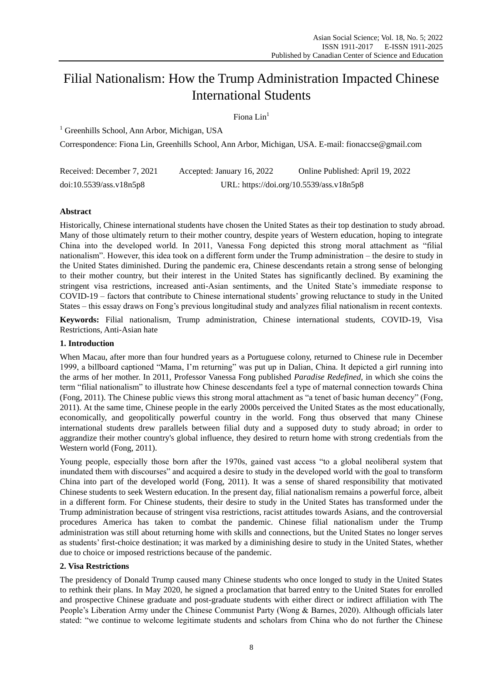# Filial Nationalism: How the Trump Administration Impacted Chinese International Students

Fiona Lin $<sup>1</sup>$ </sup>

<sup>1</sup> Greenhills School, Ann Arbor, Michigan, USA

Correspondence: Fiona Lin, Greenhills School, Ann Arbor, Michigan, USA. E-mail: fionaccse@gmail.com

| Received: December 7, 2021 | Accepted: January 16, 2022               | Online Published: April 19, 2022 |
|----------------------------|------------------------------------------|----------------------------------|
| doi:10.5539/ass.v18n5p8    | URL: https://doi.org/10.5539/ass.v18n5p8 |                                  |

## **Abstract**

Historically, Chinese international students have chosen the United States as their top destination to study abroad. Many of those ultimately return to their mother country, despite years of Western education, hoping to integrate China into the developed world. In 2011, Vanessa Fong depicted this strong moral attachment as "filial" nationalism". However, this idea took on a different form under the Trump administration – the desire to study in the United States diminished. During the pandemic era, Chinese descendants retain a strong sense of belonging to their mother country, but their interest in the United States has significantly declined. By examining the stringent visa restrictions, increased anti-Asian sentiments, and the United State's immediate response to COVID-19 – factors that contribute to Chinese international students' growing reluctance to study in the United States – this essay draws on Fong's previous longitudinal study and analyzes filial nationalism in recent contexts.

**Keywords:** Filial nationalism, Trump administration, Chinese international students, COVID-19, Visa Restrictions, Anti-Asian hate

## **1. Introduction**

When Macau, after more than four hundred years as a Portuguese colony, returned to Chinese rule in December 1999, a billboard captioned "Mama, I'm returning" was put up in Dalian, China. It depicted a girl running into the arms of her mother. In 2011, Professor Vanessa Fong published *Paradise Redefined,* in which she coins the term "filial nationalism" to illustrate how Chinese descendants feel a type of maternal connection towards China (Fong, 2011). The Chinese public views this strong moral attachment as "a tenet of basic human decency" (Fong, 2011). At the same time, Chinese people in the early 2000s perceived the United States as the most educationally, economically, and geopolitically powerful country in the world. Fong thus observed that many Chinese international students drew parallels between filial duty and a supposed duty to study abroad; in order to aggrandize their mother country's global influence, they desired to return home with strong credentials from the Western world (Fong, 2011).

Young people, especially those born after the 1970s, gained vast access "to a global neoliberal system that inundated them with discourses" and acquired a desire to study in the developed world with the goal to transform China into part of the developed world (Fong, 2011). It was a sense of shared responsibility that motivated Chinese students to seek Western education. In the present day, filial nationalism remains a powerful force, albeit in a different form. For Chinese students, their desire to study in the United States has transformed under the Trump administration because of stringent visa restrictions, racist attitudes towards Asians, and the controversial procedures America has taken to combat the pandemic. Chinese filial nationalism under the Trump administration was still about returning home with skills and connections, but the United States no longer serves as students' first-choice destination; it was marked by a diminishing desire to study in the United States, whether due to choice or imposed restrictions because of the pandemic.

## **2. Visa Restrictions**

The presidency of Donald Trump caused many Chinese students who once longed to study in the United States to rethink their plans. In May 2020, he signed a proclamation that barred entry to the United States for enrolled and prospective Chinese graduate and post-graduate students with either direct or indirect affiliation with The People's Liberation Army under the Chinese Communist Party (Wong & Barnes, 2020). Although officials later stated: "we continue to welcome legitimate students and scholars from China who do not further the Chinese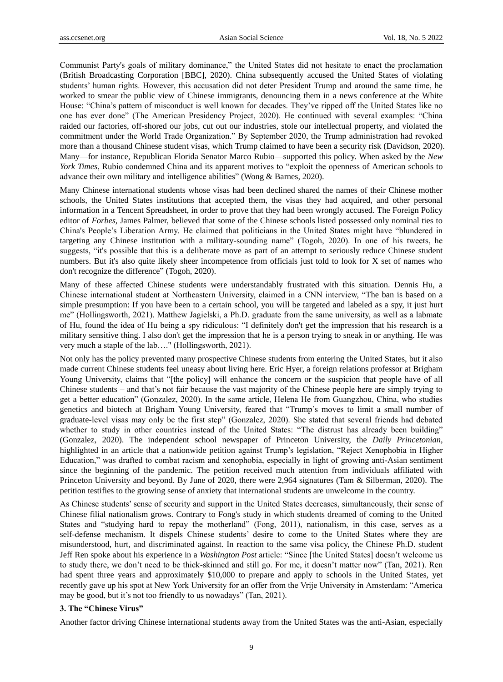Communist Party's goals of military dominance," the United States did not hesitate to enact the proclamation (British Broadcasting Corporation [BBC], 2020). China subsequently accused the United States of violating students' human rights. However, this accusation did not deter President Trump and around the same time, he worked to smear the public view of Chinese immigrants, denouncing them in a news conference at the White House: "China's pattern of misconduct is well known for decades. They've ripped off the United States like no one has ever done" (The American Presidency Project, 2020). He continued with several examples: "China raided our factories, off-shored our jobs, cut out our industries, stole our intellectual property, and violated the commitment under the World Trade Organization." By September 2020, the Trump administration had revoked more than a thousand Chinese student visas, which Trump claimed to have been a security risk (Davidson, 2020). Many—for instance, Republican Florida Senator Marco Rubio—supported this policy. When asked by the *New York Times*, Rubio condemned China and its apparent motives to "exploit the openness of American schools to advance their own military and intelligence abilities" (Wong & Barnes, 2020).

Many Chinese international students whose visas had been declined shared the names of their Chinese mother schools, the United States institutions that accepted them, the visas they had acquired, and other personal information in a [Tencent Spreadsheet,](https://docs.qq.com/sheet/DZklBQ0ZlTnFRRXZX?tab=BB08J2) in order to prove that they had been wrongly accused. The Foreign Policy editor of *Forbes*, James Palmer, believed that some of the Chinese schools listed possessed only nominal ties to China's People's Liberation Army. He claimed that politicians in the United States might have "blundered in targeting any Chinese institution with a military-sounding name" (Togoh, 2020). In one of his tweets, he suggests, "it's possible that this is a deliberate move as part of an attempt to seriously reduce Chinese student numbers. But it's also quite likely sheer incompetence from officials just told to look for X set of names who don't recognize the difference" (Togoh, 2020).

Many of these affected Chinese students were understandably frustrated with this situation. Dennis Hu, a Chinese international student at Northeastern University, claimed in a CNN interview, "The ban is based on a simple presumption: If you have been to a certain school, you will be targeted and labeled as a spy, it just hurt me" (Hollingsworth, 2021). Matthew Jagielski, a Ph.D. graduate from the same university, as well as a labmate of Hu, found the idea of Hu being a spy ridiculous: "I definitely don't get the impression that his research is a military sensitive thing. I also don't get the impression that he is a person trying to sneak in or anything. He was very much a staple of the lab…." (Hollingsworth, 2021).

Not only has the policy prevented many prospective Chinese students from entering the United States, but it also made current Chinese students feel uneasy about living here. Eric Hyer, a foreign relations professor at Brigham Young University, claims that "[the policy] will enhance the concern or the suspicion that people have of all Chinese students – and that's not fair because the vast majority of the Chinese people here are simply trying to get a better education" (Gonzalez, 2020). In the same article, Helena He from Guangzhou, China, who studies genetics and biotech at Brigham Young University, feared that "Trump's moves to limit a small number of graduate-level visas may only be the first step‖ (Gonzalez, 2020). She stated that several friends had debated whether to study in other countries instead of the United States: "The distrust has already been building" (Gonzalez, 2020). The independent school newspaper of Princeton University, the *Daily Princetonian*, highlighted in an article that a nationwide [petition](https://docs.google.com/forms/d/e/1FAIpQLScIu1jbAfB5qFGkV3I7rpEAo0kwsUb8CpzZ_6Nu-CoKeul4PQ/viewform) against Trump's legislation, "Reject Xenophobia in Higher Education," was drafted to combat racism and xenophobia, especially in light of growing anti-Asian sentiment since the beginning of the pandemic. The petition received much attention from individuals affiliated with Princeton University and beyond. By June of 2020, there were 2,964 signatures (Tam & Silberman, 2020). The petition testifies to the growing sense of anxiety that international students are unwelcome in the country.

As Chinese students' sense of security and support in the United States decreases, simultaneously, their sense of Chinese filial nationalism grows. Contrary to Fong's study in which students dreamed of coming to the United States and "studying hard to repay the motherland" (Fong, 2011), nationalism, in this case, serves as a self-defense mechanism. It dispels Chinese students' desire to come to the United States where they are misunderstood, hurt, and discriminated against. In reaction to the same visa policy, the Chinese Ph.D. student Jeff Ren spoke about his experience in a *Washington Post* article: "Since [the United States] doesn't welcome us to study there, we don't need to be thick-skinned and still go. For me, it doesn't matter now" (Tan, 2021). Ren had spent three years and approximately \$10,000 to prepare and apply to schools in the United States, yet recently gave up his spot at New York University for an offer from the Vrije University in Amsterdam: "America may be good, but it's not too friendly to us nowadays" (Tan, 2021).

## **3. The "Chinese Virus"**

Another factor driving Chinese international students away from the United States was the anti-Asian, especially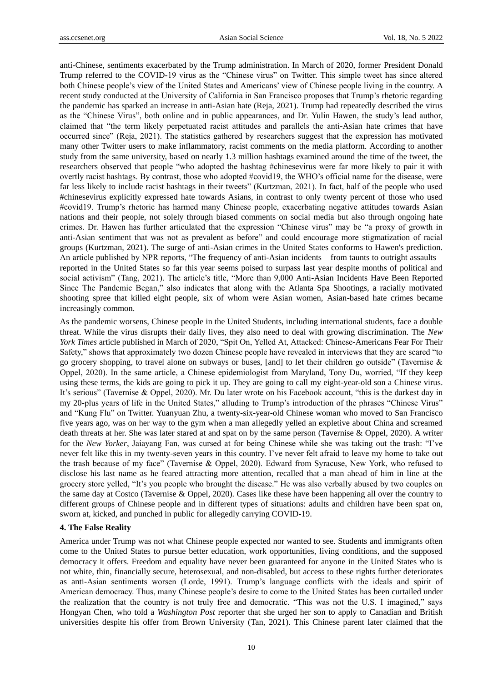anti-Chinese, sentiments exacerbated by the Trump administration. In March of 2020, former President Donald Trump referred to the COVID-19 virus as the "Chinese virus" on Twitter. This simple tweet has since altered both Chinese people's view of the United States and Americans' view of Chinese people living in the country. A recent study conducted at the University of California in San Francisco proposes that Trump's rhetoric regarding the pandemic has sparked an increase in anti-Asian hate (Reja, 2021). Trump had repeatedly described the virus as the "Chinese Virus", both online and in public appearances, and Dr. Yulin Hawen, the study's lead author, claimed that ―the term likely perpetuated racist attitudes and parallels the anti-Asian hate crimes that have occurred since‖ (Reja, 2021). The statistics gathered by researchers suggest that the expression has motivated many other Twitter users to make inflammatory, racist comments on the media platform. According to another study from the same university, based on nearly 1.3 million hashtags examined around the time of the tweet, the researchers observed that people "who adopted the hashtag #chinesevirus were far more likely to pair it with overtly racist hashtags. By contrast, those who adopted #covid19, the WHO's official name for the disease, were far less likely to include racist hashtags in their tweets" (Kurtzman, 2021). In fact, half of the people who used #chinesevirus explicitly expressed hate towards Asians, in contrast to only twenty percent of those who used #covid19. Trump's rhetoric has harmed many Chinese people, exacerbating negative attitudes towards Asian nations and their people, not solely through biased comments on social media but also through ongoing hate crimes. Dr. Hawen has further articulated that the expression "Chinese virus" may be "a proxy of growth in anti-Asian sentiment that was not as prevalent as before" and could encourage more stigmatization of racial groups (Kurtzman, 2021). The surge of anti-Asian crimes in the United States conforms to Hawen's prediction. An article published by NPR reports, "The frequency of anti-Asian incidents – from taunts to outright assaults – reported in the United States so far this year seems poised to surpass last year despite months of political and social activism" (Tang, 2021). The article's title, "More than 9,000 Anti-Asian Incidents Have Been Reported Since The Pandemic Began," also indicates that along with the Atlanta Spa Shootings, a racially motivated shooting spree that killed eight people, six of whom were Asian women, Asian-based hate crimes became increasingly common.

As the pandemic worsens, Chinese people in the United Students, including international students, face a double threat. While the virus disrupts their daily lives, they also need to deal with growing discrimination. The *New York Times* article published in March of 2020, "Spit On, Yelled At, Attacked: Chinese-Americans Fear For Their Safety," shows that approximately two dozen Chinese people have revealed in interviews that they are scared "to go grocery shopping, to travel alone on subways or buses, [and] to let their children go outside" (Tavernise  $\&$ Oppel, 2020). In the same article, a Chinese epidemiologist from Maryland, Tony Du, worried, "If they keep using these terms, the kids are going to pick it up. They are going to call my eight-year-old son a Chinese virus. It's serious" (Tavernise & Oppel, 2020). Mr. Du later wrote on his Facebook account, "this is the darkest day in my 20-plus years of life in the United States," alluding to Trump's introduction of the phrases "Chinese Virus" and "Kung Flu" on Twitter. Yuanyuan Zhu, a twenty-six-year-old Chinese woman who moved to San Francisco five years ago, was on her way to the gym when a man allegedly yelled an expletive about China and screamed death threats at her. She was later stared at and spat on by the same person (Tavernise & Oppel, 2020). A writer for the *New Yorker*, Jaiayang Fan, was cursed at for being Chinese while she was taking out the trash: "I've never felt like this in my twenty-seven years in this country. I've never felt afraid to leave my home to take out the trash because of my face" (Tavernise & Oppel, 2020). Edward from Syracuse, New York, who refused to disclose his last name as he feared attracting more attention, recalled that a man ahead of him in line at the grocery store yelled, "It's you people who brought the disease." He was also verbally abused by two couples on the same day at Costco (Tavernise & Oppel, 2020). Cases like these have been happening all over the country to different groups of Chinese people and in different types of situations: adults and children have been spat on, sworn at, kicked, and punched in public for allegedly carrying COVID-19.

#### **4. The False Reality**

America under Trump was not what Chinese people expected nor wanted to see. Students and immigrants often come to the United States to pursue better education, work opportunities, living conditions, and the supposed democracy it offers. Freedom and equality have never been guaranteed for anyone in the United States who is not white, thin, financially secure, heterosexual, and non-disabled, but access to these rights further deteriorates as anti-Asian sentiments worsen (Lorde, 1991). Trump's language conflicts with the ideals and spirit of American democracy. Thus, many Chinese people's desire to come to the United States has been curtailed under the realization that the country is not truly free and democratic. "This was not the U.S. I imagined," says Hongyan Chen, who told a *Washington Post* reporter that she urged her son to apply to Canadian and British universities despite his offer from Brown University (Tan, 2021). This Chinese parent later claimed that the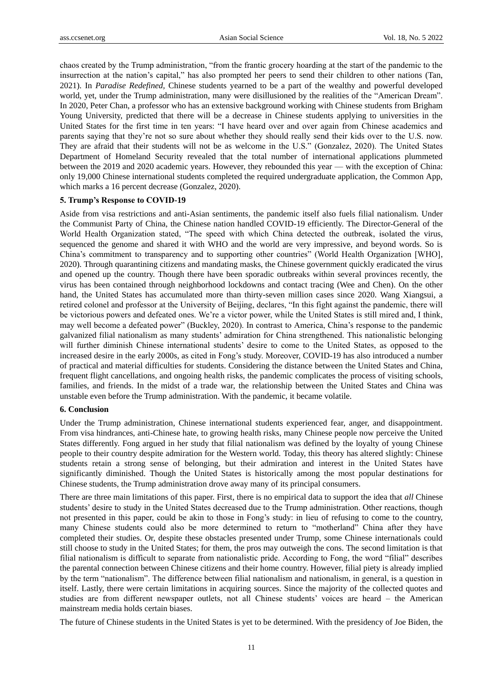chaos created by the Trump administration, "from the frantic grocery hoarding at the start of the pandemic to the insurrection at the nation's capital," has also prompted her peers to send their children to other nations (Tan, 2021). In *Paradise Redefined,* Chinese students yearned to be a part of the wealthy and powerful developed world, yet, under the Trump administration, many were disillusioned by the realities of the "American Dream". In 2020, Peter Chan, a professor who has an extensive background working with Chinese students from Brigham Young University, predicted that there will be a decrease in Chinese students applying to universities in the United States for the first time in ten years: "I have heard over and over again from Chinese academics and parents saying that they're not so sure about whether they should really send their kids over to the U.S. now. They are afraid that their students will not be as welcome in the U.S." (Gonzalez, 2020). The United States Department of Homeland Security revealed that the total number of international applications plummeted between the 2019 and 2020 academic years. However, they rebounded this year — with the exception of China: only 19,000 Chinese international students completed the required undergraduate application, the Common App, which marks a 16 percent decrease (Gonzalez, 2020).

## **5. Trump's Response to COVID-19**

Aside from visa restrictions and anti-Asian sentiments, the pandemic itself also fuels filial nationalism. Under the Communist Party of China, the Chinese nation handled COVID-19 efficiently. The Director-General of the World Health Organization stated, "The speed with which China detected the outbreak, isolated the virus, sequenced the genome and shared it with WHO and the world are very impressive, and beyond words. So is China's commitment to transparency and to supporting other countries" (World Health Organization [WHO], 2020). Through quarantining citizens and mandating masks, the Chinese government quickly eradicated the virus and opened up the country. Though there have been sporadic outbreaks within several provinces recently, the virus has been contained through neighborhood lockdowns and contact tracing (Wee and Chen). On the other hand, the United States has accumulated more than thirty-seven million cases since 2020. Wang Xiangsui, a retired colonel and professor at the University of Beijing, declares, "In this fight against the pandemic, there will be victorious powers and defeated ones. We're a victor power, while the United States is still mired and, I think, may well become a defeated power" (Buckley, 2020). In contrast to America, China's response to the pandemic galvanized filial nationalism as many students' admiration for China strengthened. This nationalistic belonging will further diminish Chinese international students' desire to come to the United States, as opposed to the increased desire in the early 2000s, as cited in Fong's study. Moreover, COVID-19 has also introduced a number of practical and material difficulties for students. Considering the distance between the United States and China, frequent flight cancellations, and ongoing health risks, the pandemic complicates the process of visiting schools, families, and friends. In the midst of a trade war, the relationship between the United States and China was unstable even before the Trump administration. With the pandemic, it became volatile.

## **6. Conclusion**

Under the Trump administration, Chinese international students experienced fear, anger, and disappointment. From visa hindrances, anti-Chinese hate, to growing health risks, many Chinese people now perceive the United States differently. Fong argued in her study that filial nationalism was defined by the loyalty of young Chinese people to their country despite admiration for the Western world. Today, this theory has altered slightly: Chinese students retain a strong sense of belonging, but their admiration and interest in the United States have significantly diminished. Though the United States is historically among the most popular destinations for Chinese students, the Trump administration drove away many of its principal consumers.

There are three main limitations of this paper. First, there is no empirical data to support the idea that *all* Chinese students' desire to study in the United States decreased due to the Trump administration. Other reactions, though not presented in this paper, could be akin to those in Fong's study: in lieu of refusing to come to the country, many Chinese students could also be more determined to return to "motherland" China after they have completed their studies. Or, despite these obstacles presented under Trump, some Chinese internationals could still choose to study in the United States; for them, the pros may outweigh the cons. The second limitation is that filial nationalism is difficult to separate from nationalistic pride. According to Fong, the word "filial" describes the parental connection between Chinese citizens and their home country. However, filial piety is already implied by the term "nationalism". The difference between filial nationalism and nationalism, in general, is a question in itself. Lastly, there were certain limitations in acquiring sources. Since the majority of the collected quotes and studies are from different newspaper outlets, not all Chinese students' voices are heard – the American mainstream media holds certain biases.

The future of Chinese students in the United States is yet to be determined. With the presidency of Joe Biden, the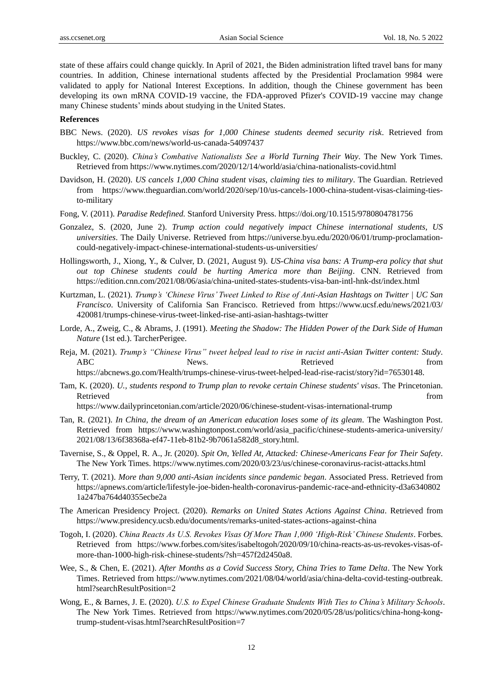state of these affairs could change quickly. In April of 2021, the Biden administration lifted travel bans for many countries. In addition, Chinese international students affected by the Presidential Proclamation 9984 were validated to apply for National Interest Exceptions. In addition, though the Chinese government has been developing its own mRNA COVID-19 vaccine, the FDA-approved Pfizer's COVID-19 vaccine may change many Chinese students' minds about studying in the United States.

## **References**

- BBC News. (2020). *US revokes visas for 1,000 Chinese students deemed security risk*. Retrieved from https://www.bbc.com/news/world-us-canada-54097437
- Buckley, C. (2020). *China"s Combative Nationalists See a World Turning Their Way*. The New York Times. Retrieved from https://www.nytimes.com/2020/12/14/world/asia/china-nationalists-covid.html
- Davidson, H. (2020). *US cancels 1,000 China student visas, claiming ties to military*. The Guardian. Retrieved from https://www.theguardian.com/world/2020/sep/10/us-cancels-1000-china-student-visas-claiming-tiesto-military
- Fong, V. (2011). *Paradise Redefined.* Stanford University Press. https://doi.org/10.1515/9780804781756
- Gonzalez, S. (2020, June 2). *Trump action could negatively impact Chinese international students, US universities*. The Daily Universe. Retrieved from https://universe.byu.edu/2020/06/01/trump-proclamationcould-negatively-impact-chinese-international-students-us-universities/
- Hollingsworth, J., Xiong, Y., & Culver, D. (2021, August 9). *US-China visa bans: A Trump-era policy that shut out top Chinese students could be hurting America more than Beijing*. CNN. Retrieved from https://edition.cnn.com/2021/08/06/asia/china-united-states-students-visa-ban-intl-hnk-dst/index.html
- Kurtzman, L. (2021). *Trump"s "Chinese Virus" Tweet Linked to Rise of Anti-Asian Hashtags on Twitter | UC San Francisco*. University of California San Francisco. Retrieved from https://www.ucsf.edu/news/2021/03/ 420081/trumps-chinese-virus-tweet-linked-rise-anti-asian-hashtags-twitter
- Lorde, A., Zweig, C., & Abrams, J. (1991). *Meeting the Shadow: The Hidden Power of the Dark Side of Human Nature* (1st ed.). TarcherPerigee.
- Reja, M. (2021). *Trump"s "Chinese Virus" tweet helped lead to rise in racist anti-Asian Twitter content: Study*. ABC News. News. Retrieved from https://abcnews.go.com/Health/trumps-chinese-virus-tweet-helped-lead-rise-racist/story?id=76530148.
- Tam, K. (2020). *U., students respond to Trump plan to revoke certain Chinese students' visas*. The Princetonian. Retrieved that the contract of the contract of the contract of the contract of the contract of the contract of the contract of the contract of the contract of the contract of the contract of the contract of the contract of

https://www.dailyprincetonian.com/article/2020/06/chinese-student-visas-international-trump

- Tan, R. (2021). *In China, the dream of an American education loses some of its gleam*. The Washington Post. Retrieved from https://www.washingtonpost.com/world/asia\_pacific/chinese-students-america-university/ 2021/08/13/6f38368a-ef47-11eb-81b2-9b7061a582d8\_story.html.
- Tavernise, S., & Oppel, R. A., Jr. (2020). *Spit On, Yelled At, Attacked: Chinese-Americans Fear for Their Safety*. The New York Times. https://www.nytimes.com/2020/03/23/us/chinese-coronavirus-racist-attacks.html
- Terry, T. (2021). *More than 9,000 anti-Asian incidents since pandemic began*. Associated Press. Retrieved from https://apnews.com/article/lifestyle-joe-biden-health-coronavirus-pandemic-race-and-ethnicity-d3a6340802 1a247ba764d40355ecbe2a
- The American Presidency Project. (2020). *Remarks on United States Actions Against China*. Retrieved from https://www.presidency.ucsb.edu/documents/remarks-united-states-actions-against-china
- Togoh, I. (2020). *China Reacts As U.S. Revokes Visas Of More Than 1,000 "High-Risk" Chinese Students*. Forbes. Retrieved from https://www.forbes.com/sites/isabeltogoh/2020/09/10/china-reacts-as-us-revokes-visas-ofmore-than-1000-high-risk-chinese-students/?sh=457f2d2450a8.
- Wee, S., & Chen, E. (2021). *After Months as a Covid Success Story, China Tries to Tame Delta*. The New York Times. Retrieved from https://www.nytimes.com/2021/08/04/world/asia/china-delta-covid-testing-outbreak. html?searchResultPosition=2
- Wong, E., & Barnes, J. E. (2020). *U.S. to Expel Chinese Graduate Students With Ties to China"s Military Schools*. The New York Times. Retrieved from https://www.nytimes.com/2020/05/28/us/politics/china-hong-kongtrump-student-visas.html?searchResultPosition=7